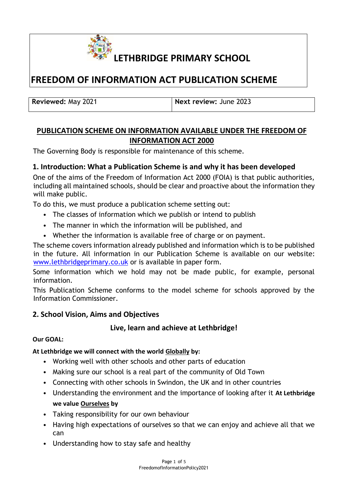

# **FREEDOM OF INFORMATION ACT PUBLICATION SCHEME**

**Reviewed:** May 2021 **Next review:** June 2023

# **PUBLICATION SCHEME ON INFORMATION AVAILABLE UNDER THE FREEDOM OF INFORMATION ACT 2000**

The Governing Body is responsible for maintenance of this scheme.

## **1. Introduction: What a Publication Scheme is and why it has been developed**

One of the aims of the Freedom of Information Act 2000 (FOIA) is that public authorities, including all maintained schools, should be clear and proactive about the information they will make public.

To do this, we must produce a publication scheme setting out:

- The classes of information which we publish or intend to publish
- The manner in which the information will be published, and
- Whether the information is available free of charge or on payment.

The scheme covers information already published and information which is to be published in the future. All information in our Publication Scheme is available on our website: [www.lethbridgeprimary.co.uk](http://www.lethbridgeprimary.co.uk/) [or](http://www.lethbridgeprimary.co.uk/) is available in paper form.

Some information which we hold may not be made public, for example, personal information.

This Publication Scheme conforms to the model scheme for schools approved by the Information Commissioner.

## **2. School Vision, Aims and Objectives**

## **Live, learn and achieve at Lethbridge!**

#### **Our GOAL:**

## **At Lethbridge we will connect with the world Globally by:**

- Working well with other schools and other parts of education
- Making sure our school is a real part of the community of Old Town
- Connecting with other schools in Swindon, the UK and in other countries
- Understanding the environment and the importance of looking after it **At Lethbridge we value Ourselves by**
- Taking responsibility for our own behaviour
- Having high expectations of ourselves so that we can enjoy and achieve all that we can
- Understanding how to stay safe and healthy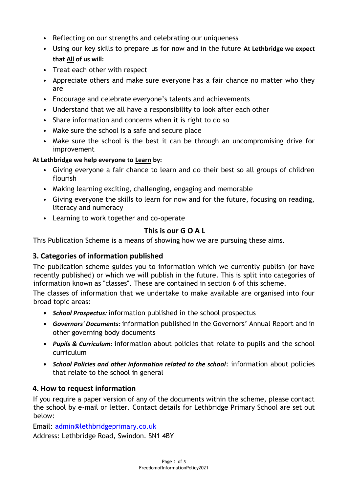- Reflecting on our strengths and celebrating our uniqueness
- Using our key skills to prepare us for now and in the future **At Lethbridge we expect that All of us will:**
- Treat each other with respect
- Appreciate others and make sure everyone has a fair chance no matter who they are
- Encourage and celebrate everyone's talents and achievements
- Understand that we all have a responsibility to look after each other
- Share information and concerns when it is right to do so
- Make sure the school is a safe and secure place
- Make sure the school is the best it can be through an uncompromising drive for improvement

#### **At Lethbridge we help everyone to Learn by:**

- Giving everyone a fair chance to learn and do their best so all groups of children flourish
- Making learning exciting, challenging, engaging and memorable
- Giving everyone the skills to learn for now and for the future, focusing on reading, literacy and numeracy
- Learning to work together and co-operate

## **This is our G O A L**

This Publication Scheme is a means of showing how we are pursuing these aims.

## **3. Categories of information published**

The publication scheme guides you to information which we currently publish (or have recently published) or which we will publish in the future. This is split into categories of information known as "classes". These are contained in section 6 of this scheme.

The classes of information that we undertake to make available are organised into four broad topic areas:

- *• School Prospectus:* information published in the school prospectus
- *• Governors' Documents:* information published in the Governors' Annual Report and in other governing body documents
- *• Pupils & Curriculum:* information about policies that relate to pupils and the school curriculum
- *• School Policies and other information related to the school*: information about policies that relate to the school in general

## **4. How to request information**

If you require a paper version of any of the documents within the scheme, please contact the school by e-mail or letter. Contact details for Lethbridge Primary School are set out below:

Email: admin@lethbridgeprimary.co.uk

Address: Lethbridge Road, Swindon. SN1 4BY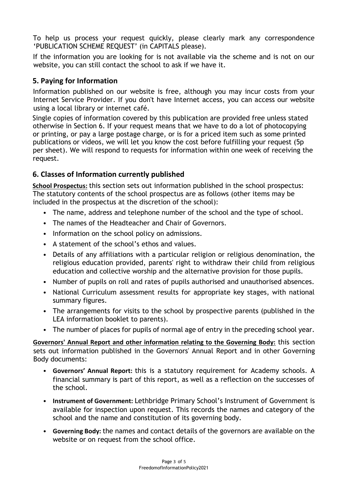To help us process your request quickly, please clearly mark any correspondence 'PUBLICATION SCHEME REQUEST' (in CAPITALS please).

If the information you are looking for is not available via the scheme and is not on our website, you can still contact the school to ask if we have it.

## **5. Paying for Information**

Information published on our website is free, although you may incur costs from your Internet Service Provider. If you don't have Internet access, you can access our website using a local library or internet café.

Single copies of information covered by this publication are provided free unless stated otherwise in Section 6. If your request means that we have to do a lot of photocopying or printing, or pay a large postage charge, or is for a priced item such as some printed publications or videos, we will let you know the cost before fulfilling your request (5p per sheet). We will respond to requests for information within one week of receiving the request.

## **6. Classes of Information currently published**

**School Prospectus:** this section sets out information published in the school prospectus: The statutory contents of the school prospectus are as follows (other items may be included in the prospectus at the discretion of the school):

- The name, address and telephone number of the school and the type of school.
- The names of the Headteacher and Chair of Governors.
- Information on the school policy on admissions.
- A statement of the school's ethos and values.
- Details of any affiliations with a particular religion or religious denomination, the religious education provided, parents' right to withdraw their child from religious education and collective worship and the alternative provision for those pupils.
- Number of pupils on roll and rates of pupils authorised and unauthorised absences.
- National Curriculum assessment results for appropriate key stages, with national summary figures.
- The arrangements for visits to the school by prospective parents (published in the LEA information booklet to parents).
- The number of places for pupils of normal age of entry in the preceding school year.

**Governors' Annual Report and other information relating to the Governing Body:** this section sets out information published in the Governors' Annual Report and in other Governing Body documents:

- **Governors' Annual Report:** this is a statutory requirement for Academy schools. A financial summary is part of this report, as well as a reflection on the successes of the school.
- **Instrument of Government:** Lethbridge Primary School's Instrument of Government is available for inspection upon request. This records the names and category of the school and the name and constitution of its governing body.
- **Governing Body:** the names and contact details of the governors are available on the website or on request from the school office.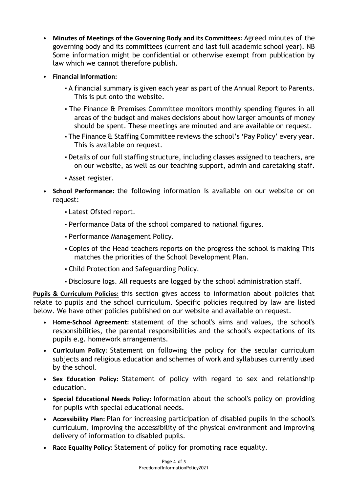- **Minutes of Meetings of the Governing Body and its Committees:** Agreed minutes of the governing body and its committees (current and last full academic school year). NB Some information might be confidential or otherwise exempt from publication by law which we cannot therefore publish.
- **Financial Information:** 
	- A financial summary is given each year as part of the Annual Report to Parents. This is put onto the website.
	- The Finance & Premises Committee monitors monthly spending figures in all areas of the budget and makes decisions about how larger amounts of money should be spent. These meetings are minuted and are available on request.
	- The Finance & Staffing Committee reviews the school's 'Pay Policy' every year. This is available on request.
	- Details of our full staffing structure, including classes assigned to teachers, are on our website, as well as our teaching support, admin and caretaking staff.
	- Asset register.
- **• School Performance:** the following information is available on our website or on request:
	- **▪** Latest Ofsted report.
	- **▪** Performance Data of the school compared to national figures.
	- **▪** Performance Management Policy.
	- **▪** Copies of the Head teachers reports on the progress the school is making This matches the priorities of the School Development Plan.
	- **▪** Child Protection and Safeguarding Policy.
	- **▪** Disclosure logs. All requests are logged by the school administration staff.

**Pupils & Curriculum Policies:** this section gives access to information about policies that relate to pupils and the school curriculum. Specific policies required by law are listed below. We have other policies published on our website and available on request.

- **• Home-School Agreement:** statement of the school's aims and values, the school's responsibilities, the parental responsibilities and the school's expectations of its pupils e.g. homework arrangements.
- **• Curriculum Policy:** Statement on following the policy for the secular curriculum subjects and religious education and schemes of work and syllabuses currently used by the school.
- **• Sex Education Policy:** Statement of policy with regard to sex and relationship education.
- **• Special Educational Needs Policy:** Information about the school's policy on providing for pupils with special educational needs.
- **• Accessibility Plan:** Plan for increasing participation of disabled pupils in the school's curriculum, improving the accessibility of the physical environment and improving delivery of information to disabled pupils.
- **• Race Equality Policy:** Statement of policy for promoting race equality.